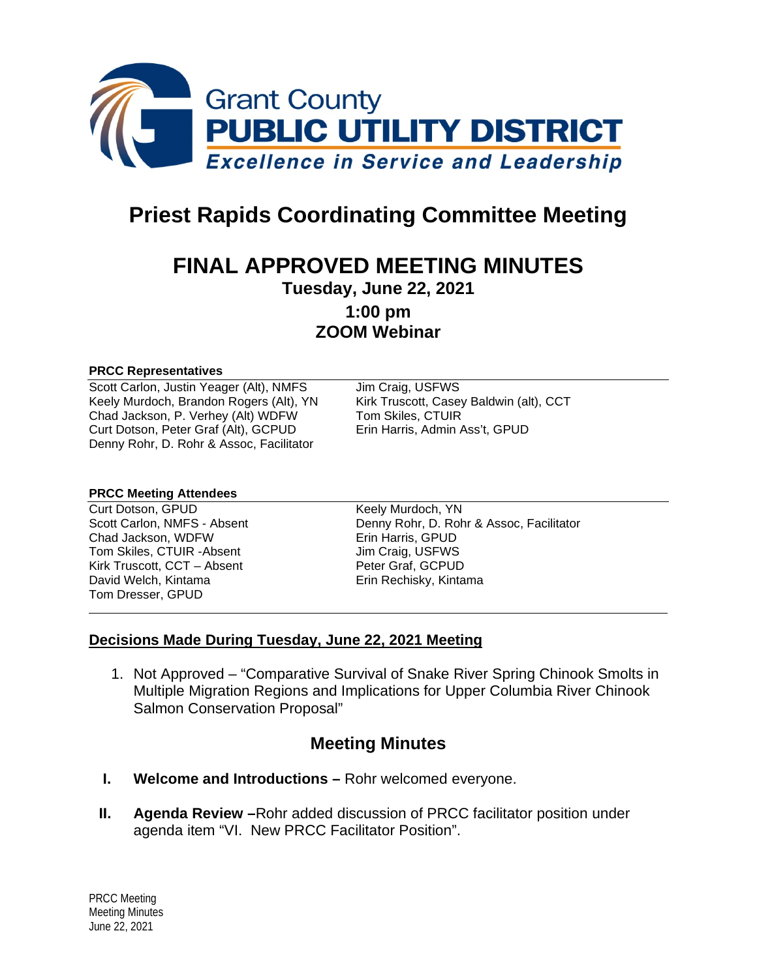

# **Priest Rapids Coordinating Committee Meeting**

## **FINAL APPROVED MEETING MINUTES**

**Tuesday, June 22, 2021**

**1:00 pm ZOOM Webinar**

#### **PRCC Representatives**

Scott Carlon, Justin Yeager (Alt), NMFS Jim Craig, USFWS Keely Murdoch, Brandon Rogers (Alt), YN Kirk Truscott, Casey Baldwin (alt), CCT<br>Chad Jackson, P. Verhey (Alt) WDFW Tom Skiles, CTUIR Chad Jackson, P. Verhey (Alt) WDFW Tom Skiles, CTUIR<br>Curt Dotson, Peter Graf (Alt), GCPUD Erin Harris, Admin Ass't, GPUD Curt Dotson, Peter Graf (Alt), GCPUD Denny Rohr, D. Rohr & Assoc, Facilitator

#### **PRCC Meeting Attendees**

Curt Dotson, GPUD Keely Murdoch, YN Chad Jackson, WDFW Erin Harris, GPUD Tom Skiles, CTUIR - Absent Kirk Truscott, CCT – Absent Peter Graf, GCPUD David Welch, Kintama **Erin Rechisky**, Kintama Tom Dresser, GPUD

Scott Carlon, NMFS - Absent Denny Rohr, D. Rohr & Assoc, Facilitator

#### **Decisions Made During Tuesday, June 22, 2021 Meeting**

1. Not Approved – "Comparative Survival of Snake River Spring Chinook Smolts in Multiple Migration Regions and Implications for Upper Columbia River Chinook Salmon Conservation Proposal"

## **Meeting Minutes**

- **I. Welcome and Introductions –** Rohr welcomed everyone.
- **II. Agenda Review –**Rohr added discussion of PRCC facilitator position under agenda item "VI. New PRCC Facilitator Position".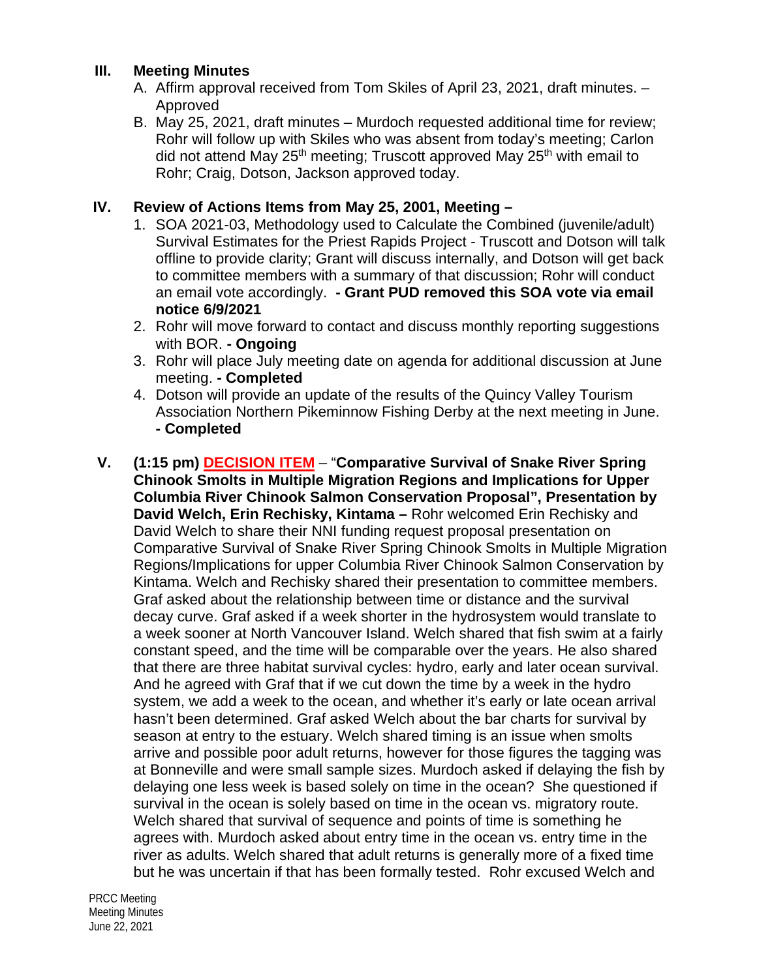#### **III. Meeting Minutes**

- A. Affirm approval received from Tom Skiles of April 23, 2021, draft minutes. Approved
- B. May 25, 2021, draft minutes Murdoch requested additional time for review; Rohr will follow up with Skiles who was absent from today's meeting; Carlon did not attend May 25<sup>th</sup> meeting; Truscott approved May 25<sup>th</sup> with email to Rohr; Craig, Dotson, Jackson approved today.

### **IV. Review of Actions Items from May 25, 2001, Meeting –**

- 1. SOA 2021-03, Methodology used to Calculate the Combined (juvenile/adult) Survival Estimates for the Priest Rapids Project - Truscott and Dotson will talk offline to provide clarity; Grant will discuss internally, and Dotson will get back to committee members with a summary of that discussion; Rohr will conduct an email vote accordingly. **- Grant PUD removed this SOA vote via email notice 6/9/2021**
- 2. Rohr will move forward to contact and discuss monthly reporting suggestions with BOR. **- Ongoing**
- 3. Rohr will place July meeting date on agenda for additional discussion at June meeting. **- Completed**
- 4. Dotson will provide an update of the results of the Quincy Valley Tourism Association Northern Pikeminnow Fishing Derby at the next meeting in June. **- Completed**
- **V. (1:15 pm) DECISION ITEM** "**Comparative Survival of Snake River Spring Chinook Smolts in Multiple Migration Regions and Implications for Upper Columbia River Chinook Salmon Conservation Proposal", Presentation by David Welch, Erin Rechisky, Kintama –** Rohr welcomed Erin Rechisky and David Welch to share their NNI funding request proposal presentation on Comparative Survival of Snake River Spring Chinook Smolts in Multiple Migration Regions/Implications for upper Columbia River Chinook Salmon Conservation by Kintama. Welch and Rechisky shared their presentation to committee members. Graf asked about the relationship between time or distance and the survival decay curve. Graf asked if a week shorter in the hydrosystem would translate to a week sooner at North Vancouver Island. Welch shared that fish swim at a fairly constant speed, and the time will be comparable over the years. He also shared that there are three habitat survival cycles: hydro, early and later ocean survival. And he agreed with Graf that if we cut down the time by a week in the hydro system, we add a week to the ocean, and whether it's early or late ocean arrival hasn't been determined. Graf asked Welch about the bar charts for survival by season at entry to the estuary. Welch shared timing is an issue when smolts arrive and possible poor adult returns, however for those figures the tagging was at Bonneville and were small sample sizes. Murdoch asked if delaying the fish by delaying one less week is based solely on time in the ocean? She questioned if survival in the ocean is solely based on time in the ocean vs. migratory route. Welch shared that survival of sequence and points of time is something he agrees with. Murdoch asked about entry time in the ocean vs. entry time in the river as adults. Welch shared that adult returns is generally more of a fixed time but he was uncertain if that has been formally tested. Rohr excused Welch and

PRCC Meeting Meeting Minutes June 22, 2021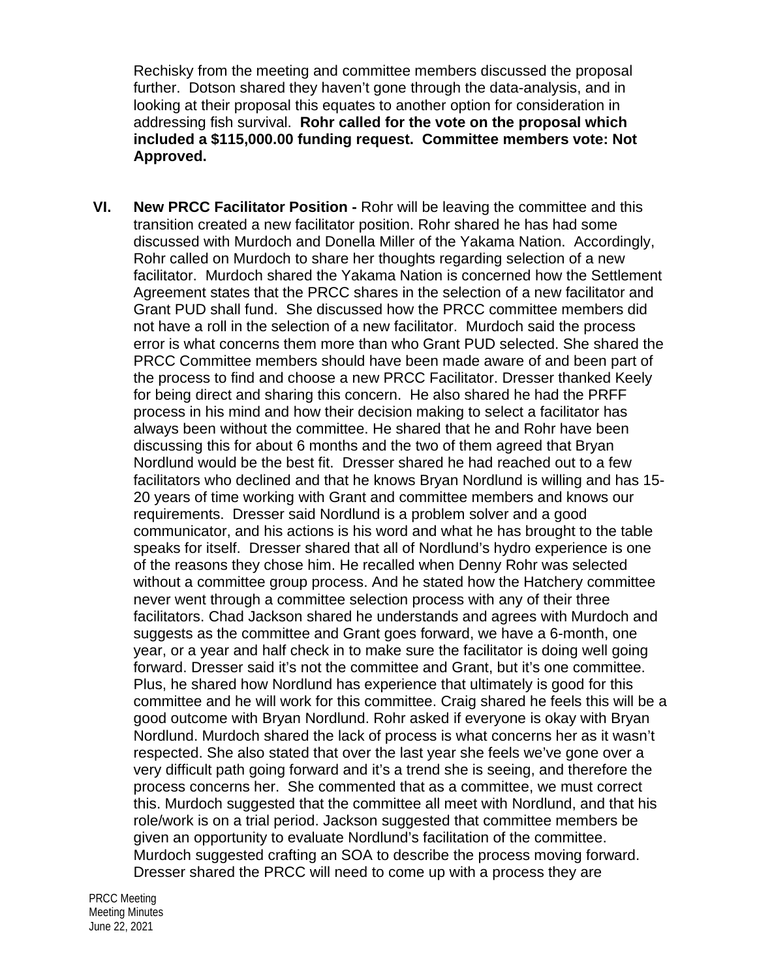Rechisky from the meeting and committee members discussed the proposal further. Dotson shared they haven't gone through the data-analysis, and in looking at their proposal this equates to another option for consideration in addressing fish survival. **Rohr called for the vote on the proposal which included a \$115,000.00 funding request. Committee members vote: Not Approved.**

**VI. New PRCC Facilitator Position -** Rohr will be leaving the committee and this transition created a new facilitator position. Rohr shared he has had some discussed with Murdoch and Donella Miller of the Yakama Nation. Accordingly, Rohr called on Murdoch to share her thoughts regarding selection of a new facilitator. Murdoch shared the Yakama Nation is concerned how the Settlement Agreement states that the PRCC shares in the selection of a new facilitator and Grant PUD shall fund. She discussed how the PRCC committee members did not have a roll in the selection of a new facilitator. Murdoch said the process error is what concerns them more than who Grant PUD selected. She shared the PRCC Committee members should have been made aware of and been part of the process to find and choose a new PRCC Facilitator. Dresser thanked Keely for being direct and sharing this concern. He also shared he had the PRFF process in his mind and how their decision making to select a facilitator has always been without the committee. He shared that he and Rohr have been discussing this for about 6 months and the two of them agreed that Bryan Nordlund would be the best fit. Dresser shared he had reached out to a few facilitators who declined and that he knows Bryan Nordlund is willing and has 15- 20 years of time working with Grant and committee members and knows our requirements. Dresser said Nordlund is a problem solver and a good communicator, and his actions is his word and what he has brought to the table speaks for itself. Dresser shared that all of Nordlund's hydro experience is one of the reasons they chose him. He recalled when Denny Rohr was selected without a committee group process. And he stated how the Hatchery committee never went through a committee selection process with any of their three facilitators. Chad Jackson shared he understands and agrees with Murdoch and suggests as the committee and Grant goes forward, we have a 6-month, one year, or a year and half check in to make sure the facilitator is doing well going forward. Dresser said it's not the committee and Grant, but it's one committee. Plus, he shared how Nordlund has experience that ultimately is good for this committee and he will work for this committee. Craig shared he feels this will be a good outcome with Bryan Nordlund. Rohr asked if everyone is okay with Bryan Nordlund. Murdoch shared the lack of process is what concerns her as it wasn't respected. She also stated that over the last year she feels we've gone over a very difficult path going forward and it's a trend she is seeing, and therefore the process concerns her. She commented that as a committee, we must correct this. Murdoch suggested that the committee all meet with Nordlund, and that his role/work is on a trial period. Jackson suggested that committee members be given an opportunity to evaluate Nordlund's facilitation of the committee. Murdoch suggested crafting an SOA to describe the process moving forward. Dresser shared the PRCC will need to come up with a process they are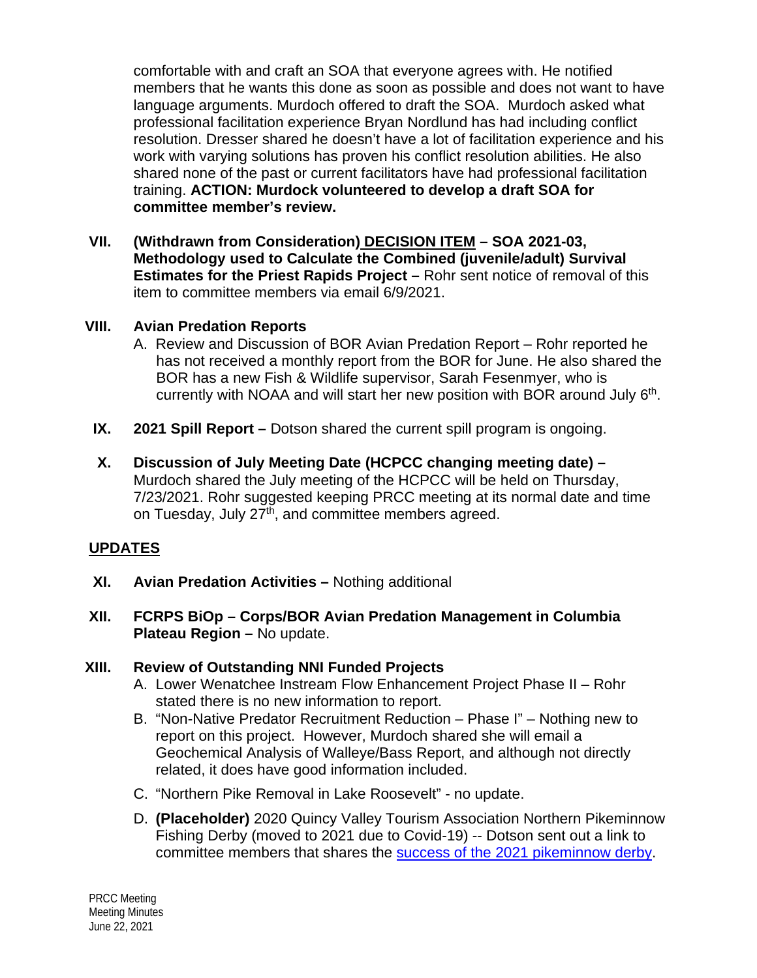comfortable with and craft an SOA that everyone agrees with. He notified members that he wants this done as soon as possible and does not want to have language arguments. Murdoch offered to draft the SOA. Murdoch asked what professional facilitation experience Bryan Nordlund has had including conflict resolution. Dresser shared he doesn't have a lot of facilitation experience and his work with varying solutions has proven his conflict resolution abilities. He also shared none of the past or current facilitators have had professional facilitation training. **ACTION: Murdock volunteered to develop a draft SOA for committee member's review.**

**VII. (Withdrawn from Consideration) DECISION ITEM – SOA 2021-03, Methodology used to Calculate the Combined (juvenile/adult) Survival Estimates for the Priest Rapids Project –** Rohr sent notice of removal of this item to committee members via email 6/9/2021.

#### **VIII. Avian Predation Reports**

- A. Review and Discussion of BOR Avian Predation Report Rohr reported he has not received a monthly report from the BOR for June. He also shared the BOR has a new Fish & Wildlife supervisor, Sarah Fesenmyer, who is currently with NOAA and will start her new position with BOR around July  $6<sup>th</sup>$ .
- **IX. 2021 Spill Report –** Dotson shared the current spill program is ongoing.
- **X. Discussion of July Meeting Date (HCPCC changing meeting date) –** Murdoch shared the July meeting of the HCPCC will be held on Thursday, 7/23/2021. Rohr suggested keeping PRCC meeting at its normal date and time on Tuesday, July 27<sup>th</sup>, and committee members agreed.

### **UPDATES**

- **XI. Avian Predation Activities –** Nothing additional
- **XII. FCRPS BiOp – Corps/BOR Avian Predation Management in Columbia Plateau Region –** No update.

### **XIII. Review of Outstanding NNI Funded Projects**

- A. Lower Wenatchee Instream Flow Enhancement Project Phase II Rohr stated there is no new information to report.
- B. "Non-Native Predator Recruitment Reduction Phase I" Nothing new to report on this project. However, Murdoch shared she will email a Geochemical Analysis of Walleye/Bass Report, and although not directly related, it does have good information included.
- C. "Northern Pike Removal in Lake Roosevelt" no update.
- D. **(Placeholder)** 2020 Quincy Valley Tourism Association Northern Pikeminnow Fishing Derby (moved to 2021 due to Covid-19) -- Dotson sent out a link to committee members that shares the [success of the 2021 pikeminnow](https://www.qvpr.com/news/pikeminnow-derby-draws-largest-crowd-yet/article_db2e6128-bd9e-11eb-8f04-a3fb9cbbf44f.html?fbclid=IwAR33oWR5XJw7Qk8JB48bO2mbw-e3qaJgkZPaVeLC48pXeMLjmV5zD7kPe5c) derby.